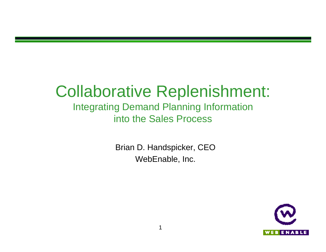## Collaborative Replenishment:

#### Integrating Demand Planning Information into the Sales Process

Brian D. Handspicker, CEO WebEnable, Inc.

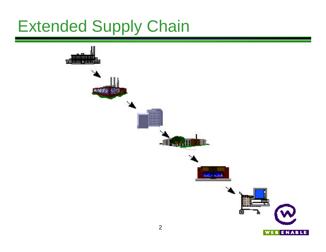# Extended Supply Chain

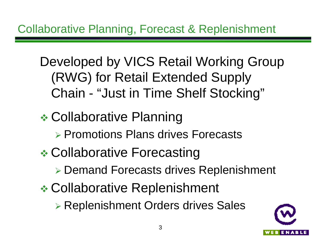#### Collaborative Planning, Forecast & Replenishment

Developed by VICS Retail Working Group (RWG) for Retail Extended Supply Chain - "Just in Time Shelf Stocking"

**Example 25 Collaborative Planning** ▶ Promotions Plans drives Forecasts **Example 25 Collaborative Forecasting** ▶ Demand Forecasts drives Replenishment **Example Collaborative Replenishment** ▶ Replenishment Orders drives Sales

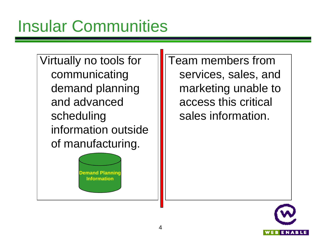Virtually no tools for communicating demand planning and advanced scheduling information outside of manufacturing.

> **Demand Planning Information**

Team members from services, sales, and marketing unable to access this critical sales information.

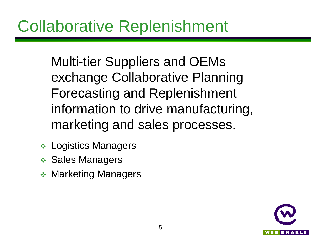Multi-tier Suppliers and OEMs exchange Collaborative Planning Forecasting and Replenishment information to drive manufacturing, marketing and sales processes.

- $\div$  Logistics Managers
- $\div$  Sales Managers
- **❖ Marketing Managers**

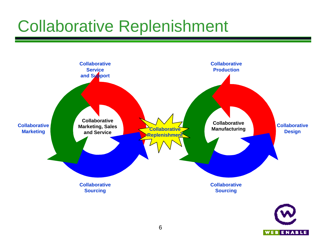# Collaborative Replenishment



**WEBENABLE**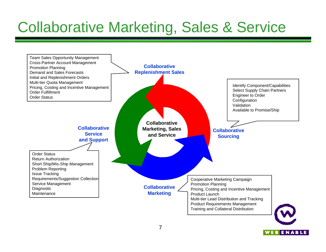### Collaborative Marketing, Sales & Service



WEBENABLE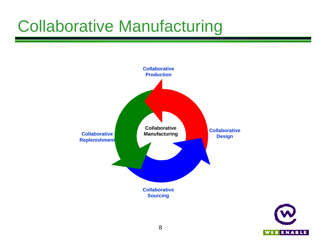# Collaborative Manufacturing



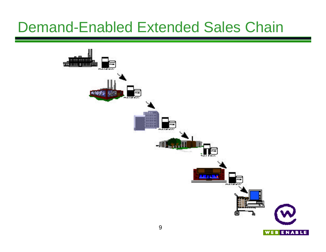#### Demand-Enabled Extended Sales Chain

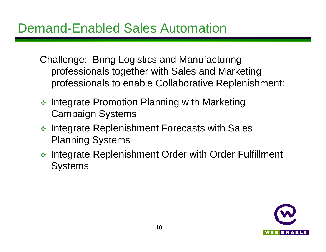Challenge: Bring Logistics and Manufacturing professionals together with Sales and Marketing professionals to enable Collaborative Replenishment:

- $\triangleq$  Integrate Promotion Planning with Marketing Campaign Systems
- $\cdot$  Integrate Replenishment Forecasts with Sales Planning Systems
- **◆ Integrate Replenishment Order with Order Fulfillment Systems**

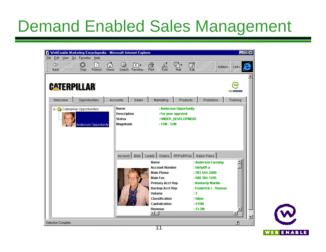# Demand Enabled Sales Management

| WebEnable Marketing Encyclopedia - Microsoft Internet Explorer<br>Edit View Go Favorites Help<br>File<br>6<br>⇦<br>$\Rightarrow$<br>Γী<br>◙<br>Back<br>Stop<br>Refresh<br>Home<br>Forward | Θ.<br>*⊦<br>Search Favorites                             | AÎ<br>q.<br>é<br>Print<br>Font<br>Mail                                                                                                                                                                     | 國<br><b>Address</b>                                                                                                                                         | $\Box$ D $\mathbf{x}$<br>$ $ Links |
|-------------------------------------------------------------------------------------------------------------------------------------------------------------------------------------------|----------------------------------------------------------|------------------------------------------------------------------------------------------------------------------------------------------------------------------------------------------------------------|-------------------------------------------------------------------------------------------------------------------------------------------------------------|------------------------------------|
| <b>CATERPILLAR</b>                                                                                                                                                                        |                                                          |                                                                                                                                                                                                            |                                                                                                                                                             | <b>WEBENABLE</b>                   |
| Opportunities<br>Welcome                                                                                                                                                                  | Accounts<br>Sales                                        | Marketing<br>Products                                                                                                                                                                                      | Problems                                                                                                                                                    | Training                           |
| <b>E-G</b> Caterpillar Opportunities<br>Anderson Opportunity                                                                                                                              | Name<br><b>Description</b><br><b>Status</b><br>Magnitude | : Anderson Opportunity<br>: For your approval<br>: UNDER_DEVELOPMENT<br>$: $1M - $2M$<br>Account   Bids   Leads   Orders   RFPs/RFQs   Sales Plans                                                         |                                                                                                                                                             |                                    |
|                                                                                                                                                                                           |                                                          | Name<br><b>Account Number</b><br><b>Main Phone</b><br><b>Main Fax</b><br><b>Primary Acct Rep</b><br><b>Backup Acct Rep</b><br>Volume<br><b>Classification</b><br>Capitalization<br>Revenue<br>$\leftarrow$ | : Anderson Farming<br>:56rty09-a<br>: 203-554-2000<br>: 508-384-1205<br>: Kimberly Marble<br>: Frederick L. Thomas<br>:3<br>: Silver<br>: \$15M<br>: \$1.2M | ×.                                 |
| Selection Complete.                                                                                                                                                                       |                                                          | न न                                                                                                                                                                                                        |                                                                                                                                                             | Ø                                  |